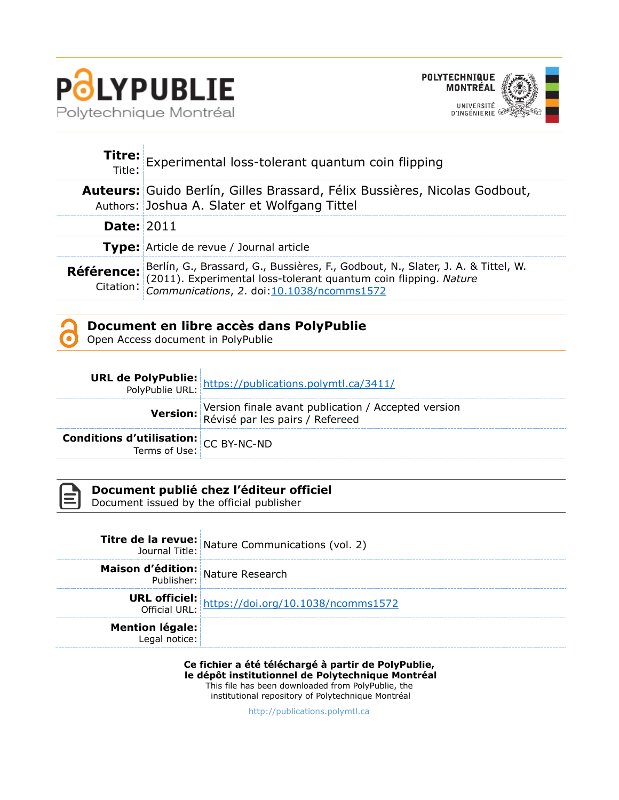



|                   | Titre: Experimental loss-tolerant quantum coin flipping                                                                                                                                                                          |
|-------------------|----------------------------------------------------------------------------------------------------------------------------------------------------------------------------------------------------------------------------------|
|                   | <b>Auteurs:</b> Guido Berlín, Gilles Brassard, Félix Bussières, Nicolas Godbout,<br>Authors: Joshua A. Slater et Wolfgang Tittel                                                                                                 |
| <b>Date: 2011</b> |                                                                                                                                                                                                                                  |
|                   | <b>Type:</b> Article de revue / Journal article                                                                                                                                                                                  |
|                   | Référence: Berlín, G., Brassard, G., Bussières, F., Godbout, N., Slater, J. A. & Tittel, W.<br>Citation: (2011). Experimental loss-tolerant quantum coin flipping. Nature<br>Citation: Communications, 2. doi:10.1038/ncomms1572 |

## **Document en libre accès dans PolyPublie**

Open Access document in PolyPublie

|                                                                               | <b>URL de PolyPublie:</b> https://publications.polymtl.ca/3411/<br>PolyPublie URL: https://publications.polymtl.ca/3411/ |
|-------------------------------------------------------------------------------|--------------------------------------------------------------------------------------------------------------------------|
|                                                                               | Version finale avant publication / Accepted version<br>Révisé par les pairs / Refereed                                   |
| <b>Conditions d'utilisation:</b> $CC$ BY-NC-ND<br>Terms of Use: $CC$ BY-NC-ND |                                                                                                                          |

### **Document publié chez l'éditeur officiel**

Document issued by the official publisher

|                                                               | <b>Titre de la revue:</b> Nature Communications (vol. 2)                 |
|---------------------------------------------------------------|--------------------------------------------------------------------------|
| <b>Maison d'édition:</b><br><b>Publisher:</b> Nature Research |                                                                          |
|                                                               | <b>URL officiel:</b><br>Official URL: https://doi.org/10.1038/ncomms1572 |
| <b>Mention légale:</b><br>Legal notice:                       |                                                                          |

**Ce fichier a été téléchargé à partir de PolyPublie, le dépôt institutionnel de Polytechnique Montréal** This file has been downloaded from PolyPublie, the institutional repository of Polytechnique Montréal

[http://publications.polymtl.ca](http://publications.polymtl.ca/)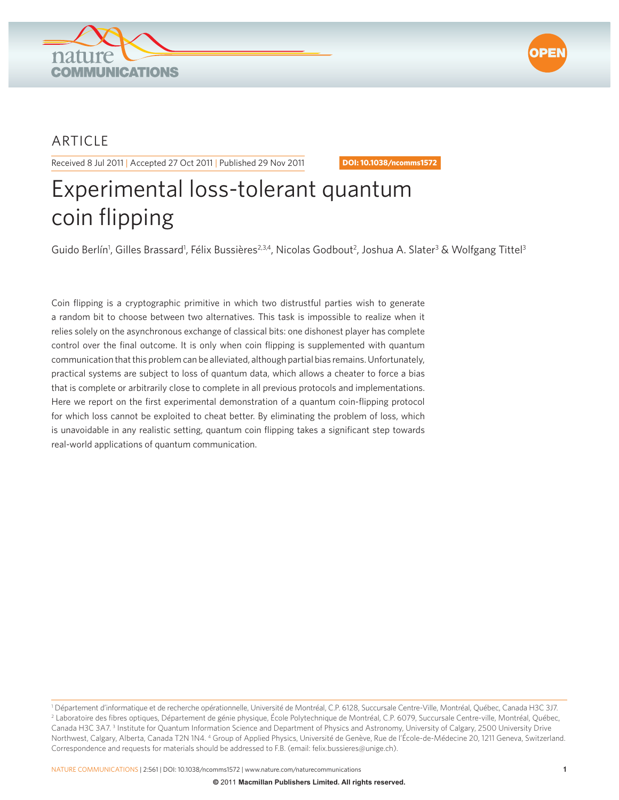



## **ARTICLE**

Received 8 Jul 2011 | Accepted 27 Oct 2011 | Published 29 Nov 2011 **DOI: 10.1038/ncomms1572**

# Experimental loss-tolerant quantum coin flipping

Guido Berlín<sup>1</sup>, Gilles Brassard<sup>1</sup>, Félix Bussières<sup>2,3,4</sup>, Nicolas Godbout<sup>2</sup>, Joshua A. Slater<sup>3</sup> & Wolfgang Tittel<sup>3</sup>

Coin flipping is a cryptographic primitive in which two distrustful parties wish to generate a random bit to choose between two alternatives. This task is impossible to realize when it relies solely on the asynchronous exchange of classical bits: one dishonest player has complete control over the final outcome. It is only when coin flipping is supplemented with quantum communication that this problem can be alleviated, although partial bias remains. Unfortunately, practical systems are subject to loss of quantum data, which allows a cheater to force a bias that is complete or arbitrarily close to complete in all previous protocols and implementations. Here we report on the first experimental demonstration of a quantum coin-flipping protocol for which loss cannot be exploited to cheat better. By eliminating the problem of loss, which is unavoidable in any realistic setting, quantum coin flipping takes a significant step towards real-world applications of quantum communication.

<sup>1</sup> Département d'informatique et de recherche opérationnelle, Université de Montréal, C.P. 6128, Succursale Centre-Ville, Montréal, Québec, Canada H3C 3J7. 2 Laboratoire des fibres optiques, Département de génie physique, École Polytechnique de Montréal, C.P. 6079, Succursale Centre-ville, Montréal, Québec, Canada H3C 3A7. 3 Institute for Quantum Information Science and Department of Physics and Astronomy, University of Calgary, 2500 University Drive Northwest, Calgary, Alberta, Canada T2N 1N4. 4 Group of Applied Physics, Université de Genève, Rue de l'École-de-Médecine 20, 1211 Geneva, Switzerland. Correspondence and requests for materials should be addressed to F.B. (email: felix.bussieres@unige.ch).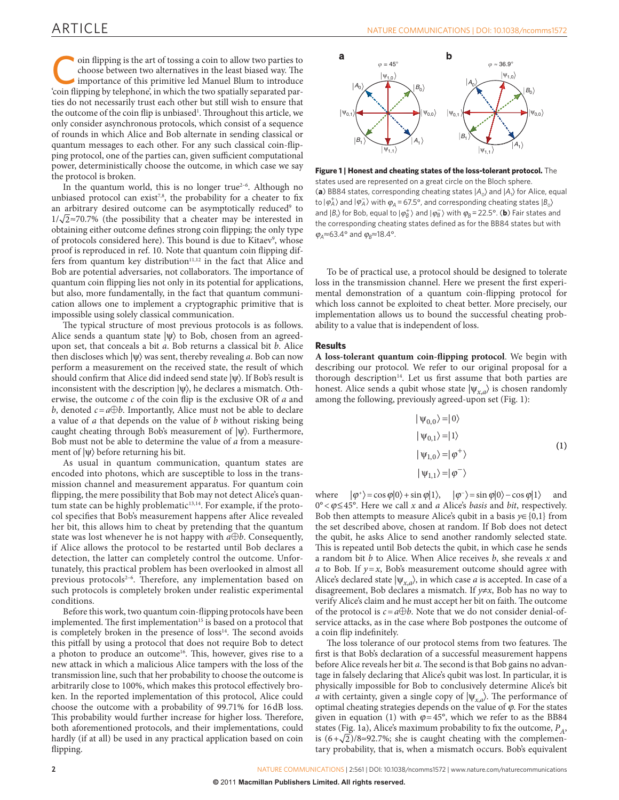oin flipping is the art of tossing a coin to allow two parties to choose between two alternatives in the least biased way. The importance of this primitive led Manuel Blum to introduce 'coin flipping by telephone', in which the two spatially separated parties do not necessarily trust each other but still wish to ensure that the outcome of the coin flip is unbiased<sup>1</sup>. Throughout this article, we only consider asynchronous protocols, which consist of a sequence of rounds in which Alice and Bob alternate in sending classical or quantum messages to each other. For any such classical coin-flipping protocol, one of the parties can, given sufficient computational power, deterministically choose the outcome, in which case we say the protocol is broken.

In the quantum world, this is no longer true<sup> $2-6$ </sup>. Although no unbiased protocol can exist<sup>7,8</sup>, the probability for a cheater to fix an arbitrary desired outcome can be asymptotically reduced<sup>9</sup> to  $1/\sqrt{2} \approx 70.7\%$  (the possibility that a cheater may be interested in obtaining either outcome defines strong coin flipping; the only type of protocols considered here). This bound is due to Kitaev<sup>9</sup>, whose proof is reproduced in ref. 10. Note that quantum coin flipping differs from quantum key distribution $11,12$  in the fact that Alice and Bob are potential adversaries, not collaborators. The importance of quantum coin flipping lies not only in its potential for applications, but also, more fundamentally, in the fact that quantum communication allows one to implement a cryptographic primitive that is impossible using solely classical communication.

The typical structure of most previous protocols is as follows. Alice sends a quantum state  $|\psi\rangle$  to Bob, chosen from an agreedupon set, that conceals a bit a. Bob returns a classical bit b. Alice then discloses which  $|\psi\rangle$  was sent, thereby revealing a. Bob can now perform a measurement on the received state, the result of which should confirm that Alice did indeed send state  $|\psi\rangle$ . If Bob's result is inconsistent with the description  $|\psi\rangle$ , he declares a mismatch. Otherwise, the outcome  $c$  of the coin flip is the exclusive OR of  $a$  and b, denoted  $c = a \oplus b$ . Importantly, Alice must not be able to declare a value of  $a$  that depends on the value of  $b$  without risking being caught cheating through Bob's measurement of  $|\psi\rangle$ . Furthermore, Bob must not be able to determine the value of a from a measurement of  $|\psi\rangle$  before returning his bit.

As usual in quantum communication, quantum states are encoded into photons, which are susceptible to loss in the transmission channel and measurement apparatus. For quantum coin flipping, the mere possibility that Bob may not detect Alice's quantum state can be highly problematic<sup>13,14</sup>. For example, if the protocol specifies that Bob's measurement happens after Alice revealed her bit, this allows him to cheat by pretending that the quantum state was lost whenever he is not happy with  $a \oplus b$ . Consequently, if Alice allows the protocol to be restarted until Bob declares a detection, the latter can completely control the outcome. Unfortunately, this practical problem has been overlooked in almost all previous protocols<sup>2-6</sup>. Therefore, any implementation based on such protocols is completely broken under realistic experimental conditions.

Before this work, two quantum coin-flipping protocols have been implemented. The first implementation<sup>15</sup> is based on a protocol that is completely broken in the presence of loss<sup>14</sup>. The second avoids this pitfall by using a protocol that does not require Bob to detect a photon to produce an outcome<sup>16</sup>. This, however, gives rise to a new attack in which a malicious Alice tampers with the loss of the transmission line, such that her probability to choose the outcome is arbitrarily close to 100%, which makes this protocol effectively broken. In the reported implementation of this protocol, Alice could choose the outcome with a probability of 99.71% for 16 dB loss. This probability would further increase for higher loss. Therefore, both aforementioned protocols, and their implementations, could hardly (if at all) be used in any practical application based on coin flipping.



**Figure 1 | Honest and cheating states of the loss-tolerant protocol.** The states used are represented on a great circle on the Bloch sphere. (a) BB84 states, corresponding cheating states  $|A_0\rangle$  and  $|A_1\rangle$  for Alice, equal to  $|\varphi_{A}^{+}\rangle$  and  $|\varphi_{A}^{-}\rangle$  with  $\varphi_{A}$  = 67.5°, and corresponding cheating states  $|B_{0}\rangle$ and  $|B_1\rangle$  for Bob, equal to  $|\varphi_B^+\rangle$  and  $|\varphi_B^-\rangle$  with  $\varphi_B = 22.5^\circ$ . (**b**) Fair states and the corresponding cheating states defined as for the BB84 states but with  $\varphi_A \approx 63.4^\circ$  and  $\varphi_B \approx 18.4^\circ$ .

To be of practical use, a protocol should be designed to tolerate loss in the transmission channel. Here we present the first experimental demonstration of a quantum coin-flipping protocol for which loss cannot be exploited to cheat better. More precisely, our implementation allows us to bound the successful cheating probability to a value that is independent of loss.

#### **Results**

**A loss-tolerant quantum coin-flipping protocol**. We begin with describing our protocol. We refer to our original proposal for a thorough description<sup>14</sup>. Let us first assume that both parties are honest. Alice sends a qubit whose state  $|\psi_{x,a}\rangle$  is chosen randomly among the following, previously agreed-upon set (Fig. 1):

$$
|\psi_{0,0}\rangle = |0\rangle
$$
  
\n
$$
|\psi_{0,1}\rangle = |1\rangle
$$
  
\n
$$
|\psi_{1,0}\rangle = |\varphi^+\rangle
$$
  
\n
$$
|\psi_{1,1}\rangle = |\varphi^-\rangle
$$
 (1)

where  $|\varphi^*\rangle = \cos \varphi |0\rangle + \sin \varphi |1\rangle, \quad |\varphi^-\rangle = \sin \varphi |0\rangle - \cos \varphi |1\rangle$  and  $0^{\circ}$  <  $\varphi$  ≤ 45°. Here we call x and a Alice's basis and bit, respectively. Bob then attempts to measure Alice's qubit in a basis  $y \in \{0,1\}$  from the set described above, chosen at random. If Bob does not detect the qubit, he asks Alice to send another randomly selected state. This is repeated until Bob detects the qubit, in which case he sends a random bit  $b$  to Alice. When Alice receives  $b$ , she reveals  $x$  and a to Bob. If  $y = x$ , Bob's measurement outcome should agree with Alice's declared state  $|\psi_{x,a}\rangle$ , in which case a is accepted. In case of a disagreement, Bob declares a mismatch. If  $y \neq x$ , Bob has no way to verify Alice's claim and he must accept her bit on faith. The outcome of the protocol is  $c = a \oplus b$ . Note that we do not consider denial-ofservice attacks, as in the case where Bob postpones the outcome of a coin flip indefinitely.

The loss tolerance of our protocol stems from two features. The first is that Bob's declaration of a successful measurement happens before Alice reveals her bit a. The second is that Bob gains no advantage in falsely declaring that Alice's qubit was lost. In particular, it is physically impossible for Bob to conclusively determine Alice's bit *a* with certainty, given a single copy of  $|\psi_{x,a}\rangle$ . The performance of optimal cheating strategies depends on the value of  $\varphi$ . For the states given in equation (1) with  $\varphi = 45^{\circ}$ , which we refer to as the BB84 states (Fig. 1a), Alice's maximum probability to fix the outcome,  $P_A$ , is  $(6+\sqrt{2})/8\approx 92.7\%$ ; she is caught cheating with the complementary probability, that is, when a mismatch occurs. Bob's equivalent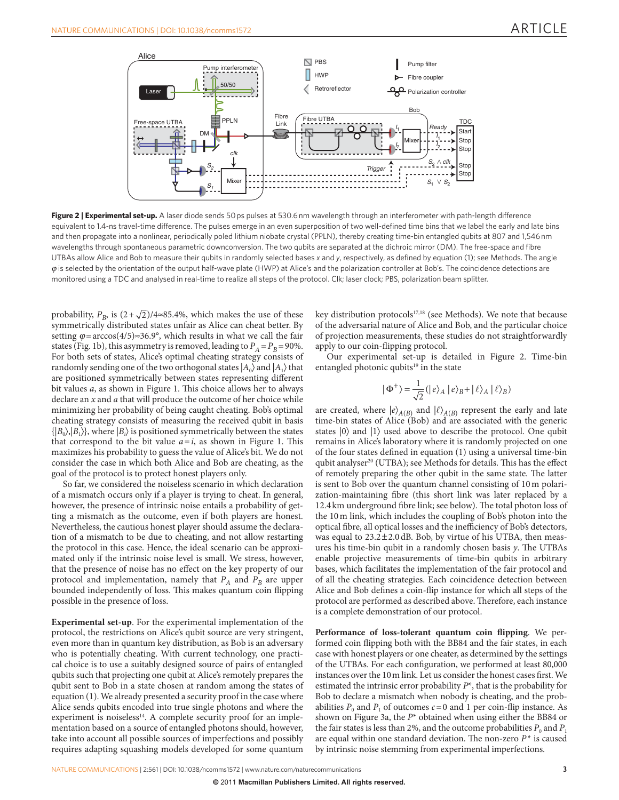

Figure 2 | Experimental set-up. A laser diode sends 50 ps pulses at 530.6 nm wavelength through an interferometer with path-length difference equivalent to 1.4-ns travel-time difference. The pulses emerge in an even superposition of two well-defined time bins that we label the early and late bins and then propagate into a nonlinear, periodically poled lithium niobate crystal (PPLN), thereby creating time-bin entangled qubits at 807 and 1,546 nm wavelengths through spontaneous parametric downconversion. The two qubits are separated at the dichroic mirror (DM). The free-space and fibre UTBAs allow Alice and Bob to measure their qubits in randomly selected bases *x* and *y*, respectively, as defined by equation (1); see Methods. The angle  $\varphi$  is selected by the orientation of the output half-wave plate (HWP) at Alice's and the polarization controller at Bob's. The coincidence detections are monitored using a TDC and analysed in real-time to realize all steps of the protocol. Clk; laser clock; PBS, polarization beam splitter.

probability,  $P_B$ , is  $(2+\sqrt{2})/4 \approx 85.4\%$ , which makes the use of these symmetrically distributed states unfair as Alice can cheat better. By setting  $\varphi = \arccos(4/5) \approx 36.9^\circ$ , which results in what we call the fair states (Fig. 1b), this asymmetry is removed, leading to  $P_A = P_B = 90\%$ . For both sets of states, Alice's optimal cheating strategy consists of randomly sending one of the two orthogonal states  $|A_0\rangle$  and  $|A_1\rangle$  that are positioned symmetrically between states representing different bit values a, as shown in Figure 1. This choice allows her to always declare an  $x$  and  $a$  that will produce the outcome of her choice while minimizing her probability of being caught cheating. Bob's optimal cheating strategy consists of measuring the received qubit in basis  $\{|B_0\rangle, |B_1\rangle\}$ , where  $|B_i\rangle$  is positioned symmetrically between the states that correspond to the bit value  $a = i$ , as shown in Figure 1. This maximizes his probability to guess the value of Alice's bit. We do not consider the case in which both Alice and Bob are cheating, as the goal of the protocol is to protect honest players only.

So far, we considered the noiseless scenario in which declaration of a mismatch occurs only if a player is trying to cheat. In general, however, the presence of intrinsic noise entails a probability of getting a mismatch as the outcome, even if both players are honest. Nevertheless, the cautious honest player should assume the declaration of a mismatch to be due to cheating, and not allow restarting the protocol in this case. Hence, the ideal scenario can be approximated only if the intrinsic noise level is small. We stress, however, that the presence of noise has no effect on the key property of our protocol and implementation, namely that  $P_A$  and  $P_B$  are upper bounded independently of loss. This makes quantum coin flipping possible in the presence of loss.

**Experimental set-up**. For the experimental implementation of the protocol, the restrictions on Alice's qubit source are very stringent, even more than in quantum key distribution, as Bob is an adversary who is potentially cheating. With current technology, one practical choice is to use a suitably designed source of pairs of entangled qubits such that projecting one qubit at Alice's remotely prepares the qubit sent to Bob in a state chosen at random among the states of equation (1). We already presented a security proof in the case where Alice sends qubits encoded into true single photons and where the experiment is noiseless<sup>14</sup>. A complete security proof for an implementation based on a source of entangled photons should, however, take into account all possible sources of imperfections and possibly requires adapting squashing models developed for some quantum

key distribution protocols<sup>17,18</sup> (see Methods). We note that because of the adversarial nature of Alice and Bob, and the particular choice of projection measurements, these studies do not straightforwardly apply to our coin-flipping protocol.

Our experimental set-up is detailed in Figure 2. Time-bin entangled photonic qubits<sup>19</sup> in the state

$$
|\Phi^{+}\rangle = \frac{1}{\sqrt{2}} (|e\rangle_{A} |e\rangle_{B} + | \ell \rangle_{A} | \ell \rangle_{B})
$$

are created, where  $|e\rangle_{A(B)}$  and  $|e\rangle_{A(B)}$  represent the early and late time-bin states of Alice (Bob) and are associated with the generic states  $|0\rangle$  and  $|1\rangle$  used above to describe the protocol. One qubit remains in Alice's laboratory where it is randomly projected on one of the four states defined in equation (1) using a universal time-bin qubit analyser<sup>20</sup> (UTBA); see Methods for details. This has the effect of remotely preparing the other qubit in the same state. The latter is sent to Bob over the quantum channel consisting of 10 m polarization-maintaining fibre (this short link was later replaced by a 12.4 km underground fibre link; see below). The total photon loss of the 10 m link, which includes the coupling of Bob's photon into the optical fibre, all optical losses and the inefficiency of Bob's detectors, was equal to  $23.2 \pm 2.0$  dB. Bob, by virtue of his UTBA, then measures his time-bin qubit in a randomly chosen basis y. The UTBAs enable projective measurements of time-bin qubits in arbitrary bases, which facilitates the implementation of the fair protocol and of all the cheating strategies. Each coincidence detection between Alice and Bob defines a coin-flip instance for which all steps of the protocol are performed as described above. Therefore, each instance is a complete demonstration of our protocol.

**Performance of loss-tolerant quantum coin flipping**. We performed coin flipping both with the BB84 and the fair states, in each case with honest players or one cheater, as determined by the settings of the UTBAs. For each configuration, we performed at least 80,000 instances over the 10 m link. Let us consider the honest cases first. We estimated the intrinsic error probability  $P^*$ , that is the probability for Bob to declare a mismatch when nobody is cheating, and the probabilities  $P_0$  and  $P_1$  of outcomes  $c = 0$  and 1 per coin-flip instance. As shown on Figure 3a, the  $P^*$  obtained when using either the BB84 or the fair states is less than 2%, and the outcome probabilities  $P_0$  and  $P_1$ are equal within one standard deviation. The non-zero  $P^*$  is caused by intrinsic noise stemming from experimental imperfections.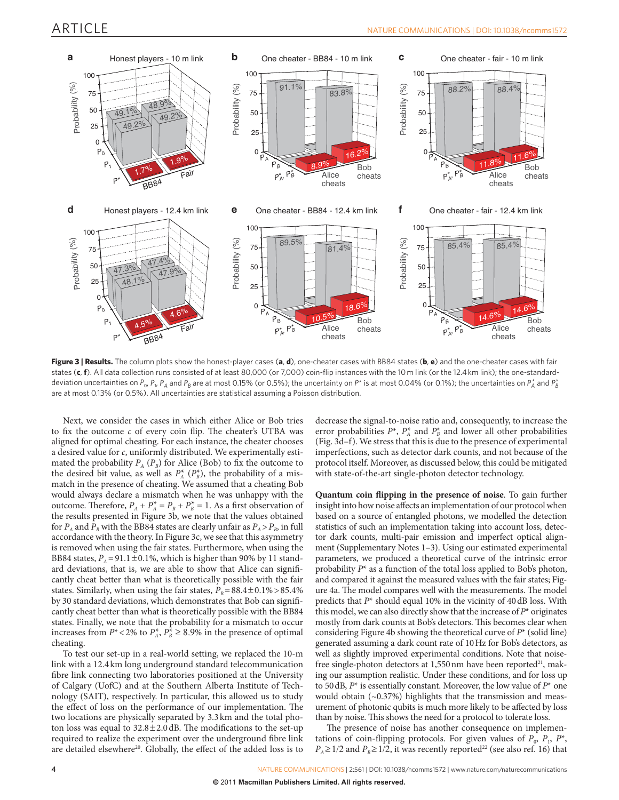

**Figure 3 | Results.** The column plots show the honest-player cases (**a**, **d**), one-cheater cases with BB84 states (**b**, **e**) and the one-cheater cases with fair states (c, f). All data collection runs consisted of at least 80,000 (or 7,000) coin-flip instances with the 10 m link (or the 12.4 km link); the one-standarddeviation uncertainties on  $P_0$ ,  $P_\nu$ ,  $P_A$  and  $P_B$  are at most 0.15% (or 0.5%); the uncertainty on  $P^\star$  is at most 0.04% (or 0.1%); the uncertainties on  $P_A^\star$  and  $P_B^\star$ are at most 0.13% (or 0.5%). All uncertainties are statistical assuming a Poisson distribution.

Next, we consider the cases in which either Alice or Bob tries to fix the outcome  $c$  of every coin flip. The cheater's UTBA was aligned for optimal cheating. For each instance, the cheater chooses a desired value for c, uniformly distributed. We experimentally estimated the probability  $P_A(P_B)$  for Alice (Bob) to fix the outcome to the desired bit value, as well as  $P_A^*$  ( $P_B^*$ ), the probability of a mismatch in the presence of cheating. We assumed that a cheating Bob would always declare a mismatch when he was unhappy with the outcome. Therefore,  $P_A + P_A^* = P_B + P_B^* = 1$ . As a first observation of the results presented in Figure 3b, we note that the values obtained for  $P_A$  and  $P_B$  with the BB84 states are clearly unfair as  $P_A > P_B$ , in full accordance with the theory. In Figure 3c, we see that this asymmetry is removed when using the fair states. Furthermore, when using the BB84 states,  $P_A = 91.1 \pm 0.1\%$ , which is higher than 90% by 11 standard deviations, that is, we are able to show that Alice can significantly cheat better than what is theoretically possible with the fair states. Similarly, when using the fair states,  $P_B = 88.4 \pm 0.1\% > 85.4\%$ by 30 standard deviations, which demonstrates that Bob can significantly cheat better than what is theoretically possible with the BB84 states. Finally, we note that the probability for a mismatch to occur increases from  $P^*$  < 2% to  $P_A^*$ ,  $P_B^*$  ≥ 8.9% in the presence of optimal cheating.

To test our set-up in a real-world setting, we replaced the 10-m link with a 12.4 km long underground standard telecommunication fibre link connecting two laboratories positioned at the University of Calgary (UofC) and at the Southern Alberta Institute of Technology (SAIT), respectively. In particular, this allowed us to study the effect of loss on the performance of our implementation. The two locations are physically separated by 3.3 km and the total photon loss was equal to  $32.8 \pm 2.0$  dB. The modifications to the set-up required to realize the experiment over the underground fibre link are detailed elsewhere<sup>20</sup>. Globally, the effect of the added loss is to

decrease the signal-to-noise ratio and, consequently, to increase the error probabilities  $P^*$ ,  $P^*_A$  and  $P^*_B$  and lower all other probabilities (Fig. 3d–f). We stress that this is due to the presence of experimental imperfections, such as detector dark counts, and not because of the protocol itself. Moreover, as discussed below, this could be mitigated with state-of-the-art single-photon detector technology.

**Quantum coin flipping in the presence of noise**. To gain further insight into how noise affects an implementation of our protocol when based on a source of entangled photons, we modelled the detection statistics of such an implementation taking into account loss, detector dark counts, multi-pair emission and imperfect optical alignment (Supplementary Notes 1–3). Using our estimated experimental parameters, we produced a theoretical curve of the intrinsic error probability  $P^*$  as a function of the total loss applied to Bob's photon, and compared it against the measured values with the fair states; Figure 4a. The model compares well with the measurements. The model predicts that  $P^*$  should equal 10% in the vicinity of 40 dB loss. With this model, we can also directly show that the increase of  $P^*$  originates mostly from dark counts at Bob's detectors. This becomes clear when considering Figure 4b showing the theoretical curve of  $P^*$  (solid line) generated assuming a dark count rate of 10 Hz for Bob's detectors, as well as slightly improved experimental conditions. Note that noisefree single-photon detectors at  $1,550 \text{ nm}$  have been reported<sup>21</sup>, making our assumption realistic. Under these conditions, and for loss up to 50 dB,  $P^*$  is essentially constant. Moreover, the low value of  $P^*$  one would obtain (~0.37%) highlights that the transmission and measurement of photonic qubits is much more likely to be affected by loss than by noise. This shows the need for a protocol to tolerate loss.

The presence of noise has another consequence on implementations of coin-flipping protocols. For given values of  $P_0$ ,  $P_1$ ,  $P^*$ ,  $P_A \geq 1/2$  and  $P_B \geq 1/2$ , it was recently reported<sup>22</sup> (see also ref. 16) that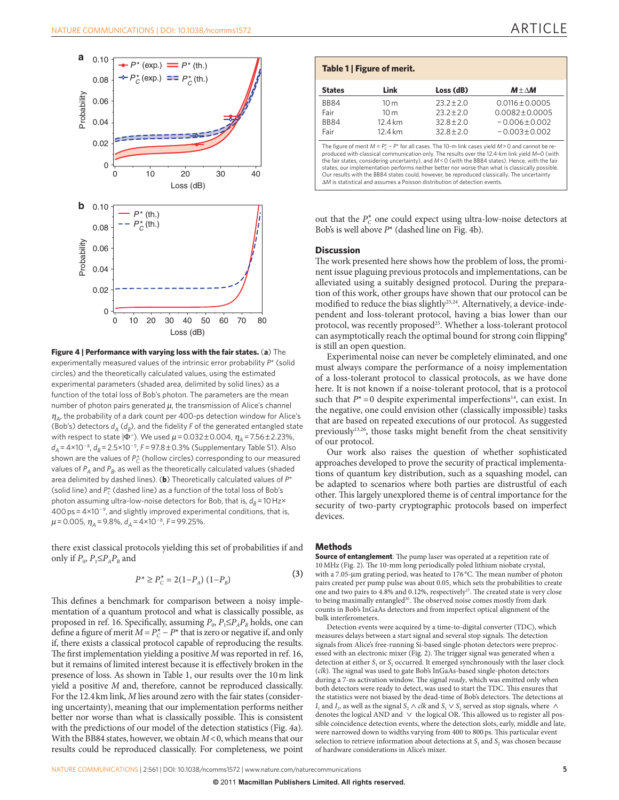

**Figure 4 | Performance with varying loss with the fair states.** (**a**) The experimentally measured values of the intrinsic error probability *P*\* (solid circles) and the theoretically calculated values, using the estimated experimental parameters (shaded area, delimited by solid lines) as a function of the total loss of Bob's photon. The parameters are the mean number of photon pairs generated  $\mu$ , the transmission of Alice's channel  $\eta_A$ , the probability of a dark count per 400-ps detection window for Alice's (Bob's) detectors  $d_A$  ( $d_B$ ), and the fidelity *F* of the generated entangled state with respect to state  $|\Phi^*\rangle$ . We used  $\mu = 0.032 \pm 0.004$ ,  $\eta_A = 7.56 \pm 2.23$ %, *d*<sub>A</sub> = 4×10<sup>-8</sup>, *d*<sub>B</sub> = 2.5×10<sup>-5</sup>, *F* = 97.8±0.3% (Supplementary Table S1). Also shown are the values of  $P_C^*$  (hollow circles) corresponding to our measured values of  $P_A$  and  $P_B$ , as well as the theoretically calculated values (shaded area delimited by dashed lines). (**b**) Theoretically calculated values of *P*\* (solid line) and  $P_c^*$  (dashed line) as a function of the total loss of Bob's photon assuming ultra-low-noise detectors for Bob, that is,  $d_B = 10$  Hz $\times$  $400 \,\text{ps} = 4 \times 10^{-9}$ , and slightly improved experimental conditions, that is,  $\mu$  = 0.005,  $\eta_A$  = 9.8%,  $d_A$  = 4×10<sup>-8</sup>, *F* = 99.25%.

there exist classical protocols yielding this set of probabilities if and only if  $P_0$ ,  $P_1 \leq P_A P_B$  and

$$
P^* \ge P_C^* = 2(1 - P_A) (1 - P_B)
$$
 (3)

This defines a benchmark for comparison between a noisy implementation of a quantum protocol and what is classically possible, as proposed in ref. 16. Specifically, assuming  $P_0$ ,  $P_1 \leq P_A P_B$  holds, one can define a figure of merit  $M = P_C^* - P^*$  that is zero or negative if, and only if, there exists a classical protocol capable of reproducing the results. The first implementation yielding a positive M was reported in ref. 16, but it remains of limited interest because it is effectively broken in the presence of loss. As shown in Table 1, our results over the 10 m link yield a positive M and, therefore, cannot be reproduced classically. For the 12.4 km link, M lies around zero with the fair states (considering uncertainty), meaning that our implementation performs neither better nor worse than what is classically possible. This is consistent with the predictions of our model of the detection statistics (Fig. 4a). With the BB84 states, however, we obtain  $M < 0$ , which means that our results could be reproduced classically. For completeness, we point

|  |  | Table 1   Figure of merit. |
|--|--|----------------------------|
|--|--|----------------------------|

| <b>States</b> | Link               | Loss (dB)    | $M \pm \triangle M$ |
|---------------|--------------------|--------------|---------------------|
| <b>BB84</b>   | 10 <sub>m</sub>    | $23.2 + 2.0$ | $0.0116 \pm 0.0005$ |
| Fair          | 10 <sub>m</sub>    | $23.2 + 2.0$ | $0.0082 \pm 0.0005$ |
| <b>BB84</b>   | $12.4 \mathrm{km}$ | $32.8 + 2.0$ | $-0.006 \pm 0.002$  |
| Fair          | $12.4 \mathrm{km}$ | $328+20$     | $-0.003 \pm 0.002$  |

The figure of merit  $M = P_c^* - P^*$  for all cases. The 10-m link cases yield  $M > 0$  and cannot be reproduced with classical communication only. The results over the 12.4-km link yield M<sup>2</sup>0 (with the fair states, considering uncertainty), and *M* < 0 (with the BB84 states). Hence, with the fair states, our implementation performs neither better nor worse than what is classically possible. Our results with the BB84 states could, however, be reproduced classically. The uncertainty  $\Delta M$  is statistical and assumes a Poisson distribution of detection events.

out that the  $P_c^*$  one could expect using ultra-low-noise detectors at Bob's is well above  $P^*$  (dashed line on Fig. 4b).

#### **Discussion**

The work presented here shows how the problem of loss, the prominent issue plaguing previous protocols and implementations, can be alleviated using a suitably designed protocol. During the preparation of this work, other groups have shown that our protocol can be modified to reduce the bias slightly<sup>23,24</sup>. Alternatively, a device-independent and loss-tolerant protocol, having a bias lower than our protocol, was recently proposed<sup>25</sup>. Whether a loss-tolerant protocol can asymptotically reach the optimal bound for strong coin flipping9 is still an open question.

Experimental noise can never be completely eliminated, and one must always compare the performance of a noisy implementation of a loss-tolerant protocol to classical protocols, as we have done here. It is not known if a noise-tolerant protocol, that is a protocol such that  $P^* = 0$  despite experimental imperfections<sup>14</sup>, can exist. In the negative, one could envision other (classically impossible) tasks that are based on repeated executions of our protocol. As suggested previously13,26, those tasks might benefit from the cheat sensitivity of our protocol.

Our work also raises the question of whether sophisticated approaches developed to prove the security of practical implementations of quantum key distribution, such as a squashing model, can be adapted to scenarios where both parties are distrustful of each other. This largely unexplored theme is of central importance for the security of two-party cryptographic protocols based on imperfect devices.

#### **Methods**

**Source of entanglement**. The pump laser was operated at a repetition rate of 10 MHz (Fig. 2). The 10-mm long periodically poled lithium niobate crystal, with a 7.05-um grating period, was heated to 176 °C. The mean number of photon pairs created per pump pulse was about 0.05, which sets the probabilities to create one and two pairs to 4.8% and 0.12%, respectively<sup>27</sup>. The created state is very close to being maximally entangled<sup>20</sup>. The observed noise comes mostly from dark counts in Bob's InGaAs detectors and from imperfect optical alignment of the bulk interferometers.

Detection events were acquired by a time-to-digital converter (TDC), which measures delays between a start signal and several stop signals. The detection signals from Alice's free-running Si-based single-photon detectors were preprocessed with an electronic mixer (Fig. 2). The trigger signal was generated when a detection at either  $S_1$  or  $S_2$  occurred. It emerged synchronously with the laser clock (clk). The signal was used to gate Bob's InGaAs-based single-photon detectors during a 7-ns activation window. The signal ready, which was emitted only when both detectors were ready to detect, was used to start the TDC. This ensures that the statistics were not biased by the dead-time of Bob's detectors. The detections at  $I_1$  and  $I_2$ , as well as the signal  $S_2 \wedge \text{clk}$  and  $S_1 \vee S_2$  served as stop signals, where  $\wedge$ denotes the logical AND and  $\vee$  the logical OR. This allowed us to register all possible coincidence detection events, where the detection slots, early, middle and late, were narrowed down to widths varying from 400 to 800 ps. This particular event selection to retrieve information about detections at  $S<sub>1</sub>$  and  $S<sub>2</sub>$  was chosen because of hardware considerations in Alice's mixer.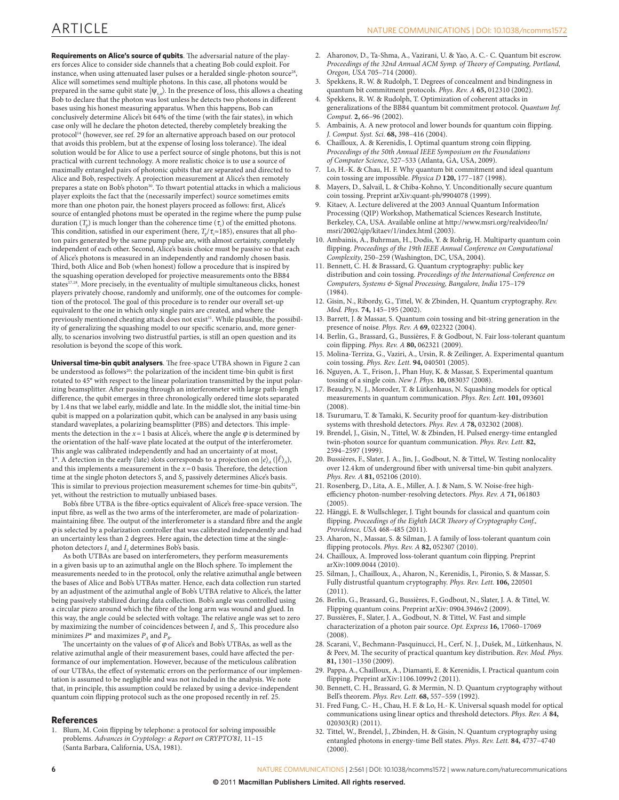**Requirements on Alice's source of qubits**. The adversarial nature of the players forces Alice to consider side channels that a cheating Bob could exploit. For instance, when using attenuated laser pulses or a heralded single-photon source<sup>28</sup>, Alice will sometimes send multiple photons. In this case, all photons would be prepared in the same qubit state  $|\psi_{xa}\rangle$ . In the presence of loss, this allows a cheating Bob to declare that the photon was lost unless he detects two photons in different bases using his honest measuring apparatus. When this happens, Bob can conclusively determine Alice's bit 64% of the time (with the fair states), in which case only will he declare the photon detected, thereby completely breaking the protocol<sup>14</sup> (however, see ref. 29 for an alternative approach based on our protocol that avoids this problem, but at the expense of losing loss tolerance). The ideal solution would be for Alice to use a perfect source of single photons, but this is not practical with current technology. A more realistic choice is to use a source of maximally entangled pairs of photonic qubits that are separated and directed to Alice and Bob, respectively. A projection measurement at Alice's then remotely prepares a state on Bob's photon<sup>30</sup>. To thwart potential attacks in which a malicious player exploits the fact that the (necessarily imperfect) source sometimes emits more than one photon pair, the honest players proceed as follows: first, Alice's source of entangled photons must be operated in the regime where the pump pulse duration  $(T_p)$  is much longer than the coherence time  $(\tau_c)$  of the emitted photons. This condition, satisfied in our experiment (here,  $T_v/\tau \approx 185$ ), ensures that all photon pairs generated by the same pump pulse are, with almost certainty, completely independent of each other. Second, Alice's basis choice must be passive so that each of Alice's photons is measured in an independently and randomly chosen basis. Third, both Alice and Bob (when honest) follow a procedure that is inspired by the squashing operation developed for projective measurements onto the BB84 states<sup>17,18</sup>. More precisely, in the eventuality of multiple simultaneous clicks, honest players privately choose, randomly and uniformly, one of the outcomes for completion of the protocol. The goal of this procedure is to render our overall set-up equivalent to the one in which only single pairs are created, and where the previously mentioned cheating attack does not exist<sup>31</sup>. While plausible, the possibility of generalizing the squashing model to our specific scenario, and, more generally, to scenarios involving two distrustful parties, is still an open question and its resolution is beyond the scope of this work.

**Universal time-bin qubit analysers**. The free-space UTBA shown in Figure 2 can be understood as follows<sup>20</sup>: the polarization of the incident time-bin qubit is first rotated to 45° with respect to the linear polarization transmitted by the input polarizing beamsplitter. After passing through an interferometer with large path-length difference, the qubit emerges in three chronologically ordered time slots separated by 1.4 ns that we label early, middle and late. In the middle slot, the initial time-bin qubit is mapped on a polarization qubit, which can be analysed in any basis using standard waveplates, a polarizing beamsplitter (PBS) and detectors. This implements the detection in the  $x = 1$  basis at Alice's, where the angle  $\varphi$  is determined by the orientation of the half-wave plate located at the output of the interferometer. This angle was calibrated independently and had an uncertainty of at most, 1°. A detection in the early (late) slots corresponds to a projection on  $|e\rangle_{\!A}$  ( $|\ell\rangle_{\!A}$ ), and this implements a measurement in the  $x = 0$  basis. Therefore, the detection time at the single photon detectors  $S_1$  and  $S_2$  passively determines Alice's basis. This is similar to previous projection measurement schemes for time-bin qubits<sup>32</sup>, yet, without the restriction to mutually unbiased bases.

Bob's fibre UTBA is the fibre-optics equivalent of Alice's free-space version. The input fibre, as well as the two arms of the interferometer, are made of polarizationmaintaining fibre. The output of the interferometer is a standard fibre and the angle  $\varphi$  is selected by a polarization controller that was calibrated independently and had an uncertainty less than 2 degrees. Here again, the detection time at the singlephoton detectors  $I_1$  and  $I_2$  determines Bob's basis.

As both UTBAs are based on interferometers, they perform measurements in a given basis up to an azimuthal angle on the Bloch sphere. To implement the measurements needed to in the protocol, only the relative azimuthal angle between the bases of Alice and Bob's UTBAs matter. Hence, each data collection run started by an adjustment of the azimuthal angle of Bob's UTBA relative to Alice's, the latter being passively stabilized during data collection. Bob's angle was controlled using a circular piezo around which the fibre of the long arm was wound and glued. In this way, the angle could be selected with voltage. The relative angle was set to zero by maximizing the number of coincidences between  $I_1$  and  $S_1$ . This procedure also minimizes  $P^*$  and maximizes  $P_A$  and  $P_B$ .

The uncertainty on the values of  $\varphi$  of Alice's and Bob's UTBAs, as well as the relative azimuthal angle of their measurement bases, could have affected the performance of our implementation. However, because of the meticulous calibration of our UTBAs, the effect of systematic errors on the performance of our implementation is assumed to be negligible and was not included in the analysis. We note that, in principle, this assumption could be relaxed by using a device-independent quantum coin flipping protocol such as the one proposed recently in ref. 25.

#### **References**

1. Blum, M. Coin flipping by telephone: a protocol for solving impossible problems. Advances in Cryptology: a Report on CRYPTO'81, 11–15 (Santa Barbara, California, USA, 1981).

- 2. Aharonov, D., Ta-Shma, A., Vazirani, U. & Yao, A. C.- C. Quantum bit escrow. Proceedings of the 32nd Annual ACM Symp. of Theory of Computing, Portland, Oregon, USA 705–714 (2000).
- 3. Spekkens, R. W. & Rudolph, T. Degrees of concealment and bindingness in quantum bit commitment protocols. Phys. Rev. A **65,** 012310 (2002).
- 4. Spekkens, R. W. & Rudolph, T. Optimization of coherent attacks in generalizations of the BB84 quantum bit commitment protocol. Quantum Inf. Comput. **2,** 66–96 (2002).
- 5. Ambainis, A. A new protocol and lower bounds for quantum coin flipping. J. Comput. Syst. Sci. **68,** 398–416 (2004).
- 6. Chailloux, A. & Kerenidis, I. Optimal quantum strong coin flipping. Proceedings of the 50th Annual IEEE Symposium on the Foundations of Computer Science, 527–533 (Atlanta, GA, USA, 2009).
- 7. Lo, H.-K. & Chau, H. F. Why quantum bit commitment and ideal quantum coin tossing are impossible. Physica D **120,** 177–187 (1998).
- 8. Mayers, D., Salvail, L. & Chiba-Kohno, Y. Unconditionally secure quantum coin tossing. Preprint arXiv:quant-ph/9904078 (1999).
- 9. Kitaev, A. Lecture delivered at the 2003 Annual Quantum Information Processing (QIP) Workshop, Mathematical Sciences Research Institute, Berkeley, CA, USA. Available online at http://www.msri.org/realvideo/ln/ msri/2002/qip/kitaev/1/index.html (2003).
- 10. Ambainis, A., Buhrman, H., Dodis, Y. & Rohrig, H. Multiparty quantum coin flipping. Proceedings of the 19th IEEE Annual Conference on Computational Complexity, 250–259 (Washington, DC, USA, 2004).
- 11. Bennett, C. H. & Brassard, G. Quantum cryptography: public key distribution and coin tossing. Proceedings of the International Conference on Computers, Systems & Signal Processing, Bangalore, India 175–179 (1984).
- 12. Gisin, N., Ribordy, G., Tittel, W. & Zbinden, H. Quantum cryptography. Rev. Mod. Phys. **74,** 145–195 (2002).
- 13. Barrett, J. & Massar, S. Quantum coin tossing and bit-string generation in the presence of noise. Phys. Rev. A **69,** 022322 (2004).
- 14. Berlín, G., Brassard, G., Bussières, F. & Godbout, N. Fair loss-tolerant quantum coin flipping. Phys. Rev. A **80,** 062321 (2009).
- 15. Molina-Terriza, G., Vaziri, A., Ursin, R. & Zeilinger, A. Experimental quantum coin tossing. Phys. Rev. Lett. **94,** 040501 (2005).
- 16. Nguyen, A. T., Frison, J., Phan Huy, K. & Massar, S. Experimental quantum tossing of a single coin. New J. Phys. **10,** 083037 (2008).
- 17. Beaudry, N. J., Moroder, T. & Lütkenhaus, N. Squashing models for optical measurements in quantum communication. Phys. Rev. Lett. **101,** 093601 (2008).
- 18. Tsurumaru, T. & Tamaki, K. Security proof for quantum-key-distribution systems with threshold detectors. Phys. Rev. A **78,** 032302 (2008).
- 19. Brendel, J., Gisin, N., Tittel, W. & Zbinden, H. Pulsed energy-time entangled twin-photon source for quantum communication. Phys. Rev. Lett. **82,** 2594–2597 (1999).
- 20. Bussières, F., Slater, J. A., Jin, J., Godbout, N. & Tittel, W. Testing nonlocality over 12.4 km of underground fiber with universal time-bin qubit analyzers. Phys. Rev. A **81,** 052106 (2010).
- 21. Rosenberg, D., Lita, A. E., Miller, A. J. & Nam, S. W. Noise-free highefficiency photon-number-resolving detectors. Phys. Rev. A **71,** 061803 (2005).
- 22. Hänggi, E. & Wullschleger, J. Tight bounds for classical and quantum coin flipping. Proceedings of the Eighth IACR Theory of Cryptography Conf., Providence, USA 468–485 (2011).
- 23. Aharon, N., Massar, S. & Silman, J. A family of loss-tolerant quantum coin flipping protocols. Phys. Rev. A **82,** 052307 (2010).
- 24. Chailloux, A. Improved loss-tolerant quantum coin flipping. Preprint arXiv:1009.0044 (2010).
- 25. Silman, J., Chailloux, A., Aharon, N., Kerenidis, I., Pironio, S. & Massar, S. Fully distrustful quantum cryptography. Phys. Rev. Lett. **106,** 220501 (2011).
- 26. Berlín, G., Brassard, G., Bussières, F., Godbout, N., Slater, J. A. & Tittel, W. Flipping quantum coins. Preprint arXiv: 0904.3946v2 (2009).
- 27. Bussières, F., Slater, J. A., Godbout, N. & Tittel, W. Fast and simple characterization of a photon pair source. Opt. Express **16,** 17060–17069 (2008).
- 28. Scarani, V., Bechmann-Pasquinucci, H., Cerf, N. J., Dušek, M., Lütkenhaus, N. & Peev, M. The security of practical quantum key distribution. Rev. Mod. Phys. **81,** 1301–1350 (2009).
- 29. Pappa, A., Chailloux, A., Diamanti, E. & Kerenidis, I. Practical quantum coin flipping. Preprint arXiv:1106.1099v2 (2011).
- Bennett, C. H., Brassard, G. & Mermin, N. D. Quantum cryptography without Bell's theorem. Phys. Rev. Lett. **68,** 557–559 (1992).
- 31. Fred Fung, C.- H., Chau, H. F. & Lo, H.- K. Universal squash model for optical communications using linear optics and threshold detectors. Phys. Rev. A **84,** 020303(R) (2011).
- 32. Tittel, W., Brendel, J., Zbinden, H. & Gisin, N. Quantum cryptography using entangled photons in energy-time Bell states. Phys. Rev. Lett. **84,** 4737–4740  $(2000)$ .